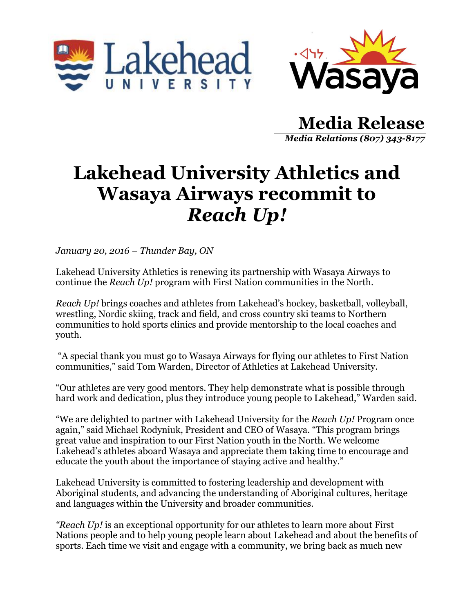



**Media Release** *Media Relations (807) 343-8177*

## **Lakehead University Athletics and Wasaya Airways recommit to**  *Reach Up!*

*January 20, 2016 – Thunder Bay, ON*

Lakehead University Athletics is renewing its partnership with Wasaya Airways to continue the *Reach Up!* program with First Nation communities in the North.

*Reach Up!* brings coaches and athletes from Lakehead's hockey, basketball, volleyball, wrestling, Nordic skiing, track and field, and cross country ski teams to Northern communities to hold sports clinics and provide mentorship to the local coaches and youth.

"A special thank you must go to Wasaya Airways for flying our athletes to First Nation communities," said Tom Warden, Director of Athletics at Lakehead University.

"Our athletes are very good mentors. They help demonstrate what is possible through hard work and dedication, plus they introduce young people to Lakehead," Warden said.

"We are delighted to partner with Lakehead University for the *Reach Up!* Program once again," said Michael Rodyniuk, President and CEO of Wasaya. "This program brings great value and inspiration to our First Nation youth in the North. We welcome Lakehead's athletes aboard Wasaya and appreciate them taking time to encourage and educate the youth about the importance of staying active and healthy."

Lakehead University is committed to fostering leadership and development with Aboriginal students, and advancing the understanding of Aboriginal cultures, heritage and languages within the University and broader communities.

*"Reach Up!* is an exceptional opportunity for our athletes to learn more about First Nations people and to help young people learn about Lakehead and about the benefits of sports. Each time we visit and engage with a community, we bring back as much new